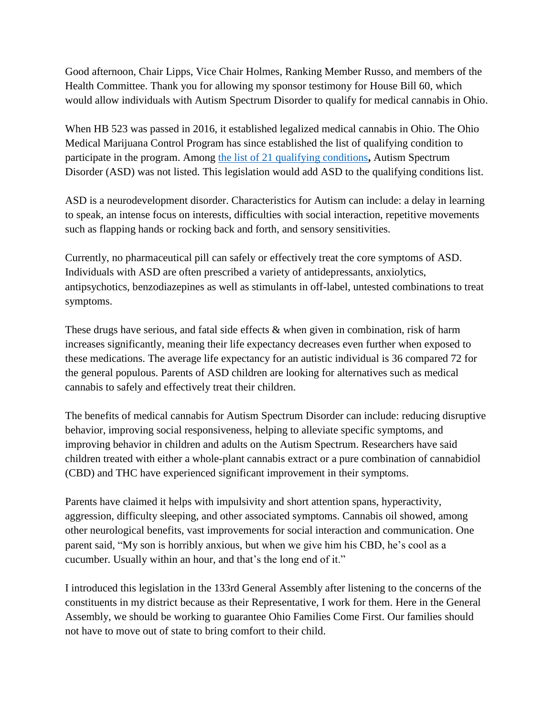Good afternoon, Chair Lipps, Vice Chair Holmes, Ranking Member Russo, and members of the Health Committee. Thank you for allowing my sponsor testimony for House Bill 60, which would allow individuals with Autism Spectrum Disorder to qualify for medical cannabis in Ohio.

When HB 523 was passed in 2016, it established legalized medical cannabis in Ohio. The Ohio Medical Marijuana Control Program has since established the list of qualifying condition to participate in the program. Among [the list of 21 qualifying conditions](http://codes.ohio.gov/orc/3796.01)**,** Autism Spectrum Disorder (ASD) was not listed. This legislation would add ASD to the qualifying conditions list.

ASD is a neurodevelopment disorder. Characteristics for Autism can include: a delay in learning to speak, an intense focus on interests, difficulties with social interaction, repetitive movements such as flapping hands or rocking back and forth, and sensory sensitivities.

Currently, no pharmaceutical pill can safely or effectively treat the core symptoms of ASD. Individuals with ASD are often prescribed a variety of antidepressants, anxiolytics, antipsychotics, benzodiazepines as well as stimulants in off-label, untested combinations to treat symptoms.

These drugs have serious, and fatal side effects & when given in combination, risk of harm increases significantly, meaning their life expectancy decreases even further when exposed to these medications. The average life expectancy for an autistic individual is 36 compared 72 for the general populous. Parents of ASD children are looking for alternatives such as medical cannabis to safely and effectively treat their children.

The benefits of medical cannabis for Autism Spectrum Disorder can include: reducing disruptive behavior, improving social responsiveness, helping to alleviate specific symptoms, and improving behavior in children and adults on the Autism Spectrum. Researchers have said children treated with either a whole-plant cannabis extract or a pure combination of cannabidiol (CBD) and THC have experienced significant improvement in their symptoms.

Parents have claimed it helps with impulsivity and short attention spans, hyperactivity, aggression, difficulty sleeping, and other associated symptoms. Cannabis oil showed, among other neurological benefits, vast improvements for social interaction and communication. One parent said, "My son is horribly anxious, but when we give him his CBD, he's cool as a cucumber. Usually within an hour, and that's the long end of it."

I introduced this legislation in the 133rd General Assembly after listening to the concerns of the constituents in my district because as their Representative, I work for them. Here in the General Assembly, we should be working to guarantee Ohio Families Come First. Our families should not have to move out of state to bring comfort to their child.